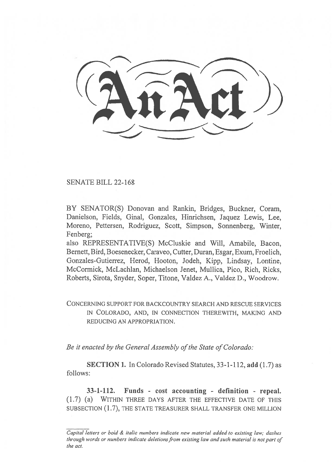SENATE BILL 22-168

BY SENATOR(S) Donovan and Rankin, Bridges, Buckner, Coram, Danielson, Fields, Ginal, Gonzales, Hinrichsen, Jaquez Lewis, Lee, Moreno, Pettersen, Rodriguez, Scott, Simpson, Sonnenberg, Winter, Fenberg:

also REPRESENTATIVE(S) McCluskie and Will, Amabile, Bacon, Bernett, Bird, Boesenecker, Caraveo, Cutter, Duran, Esgar, Exum, Froelich, Gonzales-Gutierrez, Herod, Hooton, Jodeh, Kipp, Lindsay, Lontine, McCormick, McLachlan, Michaelson Jenet, Mullica, Pico, Rich, Ricks, Roberts, Sirota, Snyder, Soper, Titone, Valdez A., Valdez D., Woodrow.

CONCERNING SUPPORT FOR BACKCOUNTRY SEARCH AND RESCUE SERVICES IN COLORADO, AND, IN CONNECTION THEREWITH, MAKING AND REDUCING AN APPROPRIATION.

Be it enacted by the General Assembly of the State of Colorado:

SECTION 1. In Colorado Revised Statutes, 33-1-112, add (1.7) as follows:

33-1-112. Funds - cost accounting - definition - repeal. (1.7) (a) WITHIN THREE DAYS AFTER THE EFFECTIVE DATE OF THIS SUBSECTION (1.7), THE STATE TREASURER SHALL TRANSFER ONE MILLION

Capital letters or bold & italic numbers indicate new material added to existing law; dashes through words or numbers indicate deletions from existing law and such material is not part of the act.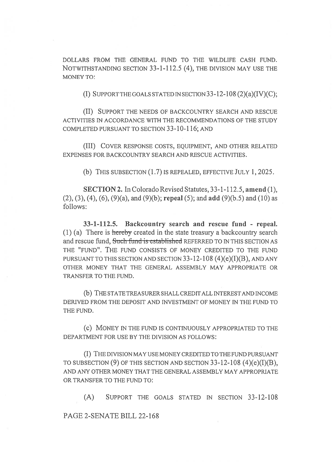DOLLARS FROM THE GENERAL FUND TO THE WILDLIFE CASH FUND. NOTWITHSTANDING SECTION 33-1-112.5 (4), THE DIVISION MAY USE THE MONEY TO:

(I) SUPPORT THE GOALS STATED IN SECTION 33-12-108 (2)(a)(IV)(C);

(II) SUPPORT THE NEEDS OF BACKCOUNTRY SEARCH AND RESCUE ACTIVITIES IN ACCORDANCE WITH THE RECOMMENDATIONS OF THE STUDY COMPLETED PURSUANT TO SECTION 33-10-116; AND

(III) COVER RESPONSE COSTS, EQUIPMENT, AND OTHER RELATED EXPENSES FOR BACKCOUNTRY SEARCH AND RESCUE ACTIVITIES.

(b) THIS SUBSECTION (1.7) IS REPEALED, EFFECTIVE JULY 1, 2025.

SECTION 2. In Colorado Revised Statutes, 33-1-112.5, amend (1),  $(2)$ ,  $(3)$ ,  $(4)$ ,  $(6)$ ,  $(9)(a)$ , and  $(9)(b)$ ; repeal  $(5)$ ; and add  $(9)(b.5)$  and  $(10)$  as follows:

33-1-112.5. Backcountry search and rescue fund - repeal. (1) (a) There is hereby created in the state treasury a backcountry search and rescue fund, Such fund is cstablishcd REFERRED TO IN THIS SECTION AS THE "FUND". THE FUND CONSISTS OF MONEY CREDITED TO THE FUND PURSUANT TO THIS SECTION AND SECTION 33-12-108 (4)(e)(I)(B), AND ANY OTHER MONEY THAT THE GENERAL ASSEMBLY MAY APPROPRIATE OR TRANSFER TO THE FUND.

(b) THE STATE TREASURER SHALL CREDIT ALL INTEREST AND INCOME DERIVED FROM THE DEPOSIT AND INVESTMENT OF MONEY IN THE FUND TO THE FUND.

(c) MONEY IN THE FUND IS CONTINUOUSLY APPROPRIATED TO THE DEPARTMENT FOR USE BY THE DIVISION AS FOLLOWS:

(I) THE DIVISION MAY USE MONEY CREDITED TO THE FUND PURSUANT TO SUBSECTION  $(9)$  OF THIS SECTION AND SECTION 33-12-108  $(4)(e)(I)(B)$ , AND ANY OTHER MONEY THAT THE GENERAL ASSEMBLY MAY APPROPRIATE OR TRANSFER TO THE FUND TO:

(A) SUPPORT THE GOALS STATED IN SECTION 33-12-108

PAGE 2-SENATE BILL 22-168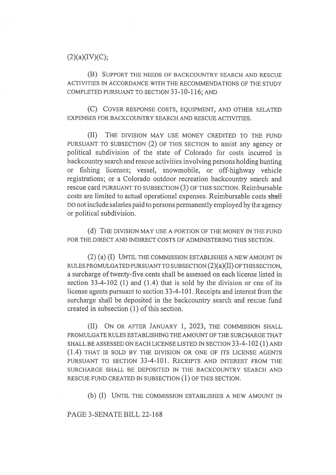## $(2)(a)(IV)(C);$

(B) SUPPORT THE NEEDS OF BACKCOUNTRY SEARCH AND RESCUE ACTIVITIES IN ACCORDANCE WITH THE RECOMMENDATIONS OF THE STUDY COMPLETED PURSUANT TO SECTION 33-10-116; AND

(C) COVER RESPONSE COSTS, EQUIPMENT, AND OTHER RELATED EXPENSES FOR BACKCOUNTRY SEARCH AND RESCUE ACTIVITIES.

(II) THE DIVISION MAY USE MONEY CREDITED TO THE FUND PURSUANT TO SUBSECTION (2) OF THIS SECTION to assist any agency or political subdivision of the state of Colorado for costs incurred in backcountry search and rescue activities involving persons holding hunting or fishing licenses; vessel, snowmobile, or off-highway vehicle registrations; or a Colorado outdoor recreation backcountry search and rescue card PURSUANT TO SUBSECTION (3) OF THIS SECTION. Reimbursable costs are limited to actual operational expenses. Reimbursable costs shall DO not include salaries paid to persons permanently employed by the agency or political subdivision.

(d) THE DIVISION MAY USE A PORTION OF THE MONEY IN THE FUND FOR THE DIRECT AND INDIRECT COSTS OF ADMINISTERING THIS SECTION.

(2) (a) (I) UNTIL THE COMMISSION ESTABLISHES A NEW AMOUNT IN RULES PROMULGATED PURSUANT TO SUBSECTION (2)(a)(II) OF THIS SECTION, a surcharge of twenty-five cents shall be assessed on each license listed in section 33-4-102 (1) and (1.4) that is sold by the division or one of its license agents pursuant to section 33-4-101. Receipts and interest from the surcharge shall be deposited in the backcountry search and rescue fund created in subsection (1) of this section.

(II) ON OR AFTER JANUARY 1, 2023, THE COMMISSION SHALL PROMULGATE RULES ESTABLISHING THE AMOUNT OF THE SURCHARGE THAT SHALL BE ASSESSED ON EACH LICENSE LISTED IN SECTION 33-4-102 (1) AND (1.4) THAT IS SOLD BY THE DIVISION OR ONE OF ITS LICENSE AGENTS PURSUANT TO SECTION 33-4-101. RECEIPTS AND INTEREST FROM THE SURCHARGE SHALL BE DEPOSITED IN THE BACKCOUNTRY SEARCH AND RESCUE FUND CREATED IN SUBSECTION (1) OF THIS SECTION.

(b) (I) UNTIL THE COMMISSION ESTABLISHES A NEW AMOUNT IN

PAGE 3-SENATE BILL 22-168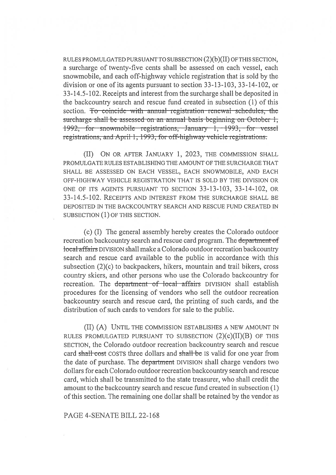RULES PROMULGATED PURSUANT TO SUBSECTION (2)(b)(II) OF THIS SECTION, a surcharge of twenty-five cents shall be assessed on each vessel, each snowmobile, and each off-highway vehicle registration that is sold by the division or one of its agents pursuant to section 33-13-103, 33-14-102, or 33-14.5-102. Receipts and interest from the surcharge shall be deposited in the backcountry search and rescue fund created in subsection (1) of this section. To coincide with annual registration-renewal schedules, the surcharge-shall-be-assessed on an annual-basis-beginning on October-1, 1992, for snowmobilc registrations, January 1, 1993, for vcsscl registrations, and April 1, 1993, for off-highway vehicle registrations.

(II) ON OR AFTER JANUARY 1, 2023, THE COMMISSION SHALL PROMULGATE RULES ESTABLISHING THE AMOUNT OF THE SURCHARGE THAT SHALL BE ASSESSED ON EACH VESSEL, EACH SNOWMOBILE, AND EACH OFF-HIGHWAY VEHICLE REGISTRATION THAT IS SOLD BY THE DIVISION OR ONE OF ITS AGENTS PURSUANT TO SECTION 33-13-103, 33-14-102, OR 33-14.5-102. RECEIPTS AND INTEREST FROM THE SURCHARGE SHALL BE DEPOSITED IN THE BACKCOUNTRY SEARCH AND RESCUE FUND CREATED IN SUBSECTION (1) OF THIS SECTION.

(c) (I) The general assembly hereby creates the Colorado outdoor recreation backcountry search and rescue card program. The department of local affairs DIVISION shall make a Colorado outdoor recreation backcountry search and rescue card available to the public in accordance with this subsection (2)(c) to backpackers, hikers, mountain and trail bikers, cross country skiers, and other persons who use the Colorado backcountry for recreation. The department of local affairs DIVISION shall establish procedures for the licensing of vendors who sell the outdoor recreation backcountry search and rescue card, the printing of such cards, and the distribution of such cards to vendors for sale to the public.

(II) (A) UNTIL THE COMMISSION ESTABLISHES A NEW AMOUNT IN RULES PROMULGATED PURSUANT TO SUBSECTION  $(2)(c)(II)(B)$  OF THIS SECTION, the Colorado outdoor recreation backcountry search and rescue card shall cost COSTS three dollars and shall be IS valid for one year from the date of purchase. The department DIVISION shall charge vendors two dollars for each Colorado outdoor recreation backcountry search and rescue card, which shall be transmitted to the state treasurer, who shall credit the amount to the backcountry search and rescue fund created in subsection (1) of this section. The remaining one dollar shall be retained by the vendor as

#### PAGE 4-SENATE BILL 22-168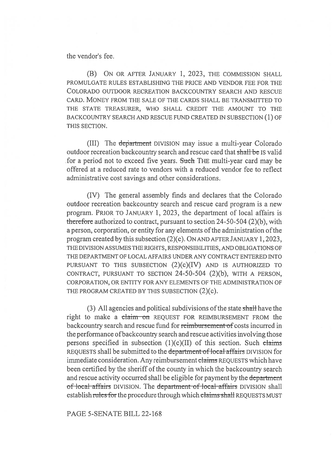the vendor's fee.

(B) ON OR AFTER JANUARY 1, 2023, THE COMMISSION SHALL PROMULGATE RULES ESTABLISHING THE PRICE AND VENDOR FEE FOR THE COLORADO OUTDOOR RECREATION BACKCOUNTRY SEARCH AND RESCUE CARD. MONEY FROM THE SALE OF THE CARDS SHALL BE TRANSMITTED TO THE STATE TREASURER, WHO SHALL CREDIT THE AMOUNT TO THE BACKCOUNTRY SEARCH AND RESCUE FUND CREATED IN SUBSECTION (1) OF THIS SECTION.

(III) The department DIVISION may issue a multi-year Colorado outdoor recreation backcountry search and rescue card that shall be IS valid for a period not to exceed five years. Such THE multi-year card may be offered at a reduced rate to vendors with a reduced vendor fee to reflect administrative cost savings and other considerations.

(IV) The general assembly finds and declares that the Colorado outdoor recreation backcountry search and rescue card program is a new program. PRIOR TO JANUARY 1, 2023, the department of local affairs is therefore authorized to contract, pursuant to section 24-50-504 (2)(b), with a person, corporation, or entity for any elements of the administration of the program created by this subsection (2)(c). ON AND AFTER JANUARY 1, 2023, THE DIVISION ASSUMES THE RIGHTS, RESPONSIBILITIES, AND OBLIGATIONS OF THE DEPARTMENT OF LOCAL AFFAIRS UNDER ANY CONTRACT ENTERED INTO PURSUANT TO THIS SUBSECTION  $(2)(c)(IV)$  and is authorized to CONTRACT, PURSUANT TO SECTION 24-50-504 (2)(b), WITH A PERSON, CORPORATION, OR ENTITY FOR ANY ELEMENTS OF THE ADMINISTRATION OF THE PROGRAM CREATED BY THIS SUBSECTION (2)(c).

(3) All agencies and political subdivisions of the state shall have the right to make a claim on REQUEST FOR REIMBURSEMENT FROM the backcountry search and rescue fund for reimbursement of costs incurred in the performance of backcountry search and rescue activities involving those persons specified in subsection  $(1)(c)(II)$  of this section. Such claims REQUESTS shall be submitted to the department of local affairs DIVISION for immediate consideration. Any reimbursement claims REQUESTS which have been certified by the sheriff of the county in which the backcountry search and rescue activity occurred shall be eligible for payment by the department of local affairs DIVISION. The department of local affairs DIVISION shall establish rules for the procedure through which claims shall REQUESTS MUST

PAGE 5-SENATE BILL 22-168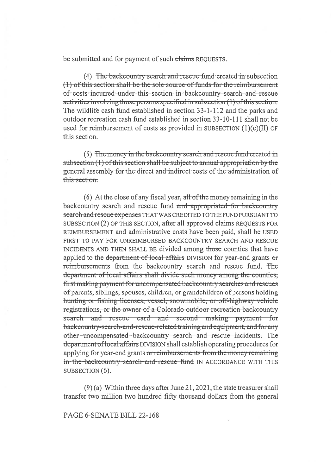be submitted and for payment of such claims REOUESTS.

(4) The backcountry search and rescue fund created in subsection (1) of this section shall be the sole source of funds for the reimbursement of costs incurred under this section in backcountry search and rescue activities involving those persons specified in subsection (1) of this section. The wildlife cash fund established in section 33-1-112 and the parks and outdoor recreation cash fund established in section 33-10-111 shall not be used for reimbursement of costs as provided in SUBSECTION  $(1)(c)(II)$  OF this section.

(5) The money in the backcountry search and rescue fund created in subsection (1) of this section shall be subject to annual appropriation by the general assembly for the direct and indirect costs of the administration of this section.

(6) At the close of any fiscal year, all of the money remaining in the backcountry search and rescue fund and appropriated for backcountry search and rescue expenses THAT WAS CREDITED TO THE FUND PURSUANT TO SUBSECTION (2) OF THIS SECTION, after all approved claims REQUESTS FOR REIMBURSEMENT and administrative costs have been paid, shall be USED FIRST TO PAY FOR UNREIMBURSED BACKCOUNTRY SEARCH AND RESCUE INCIDENTS AND THEN SHALL BE divided among those counties that have applied to the department of local affairs DIVISION for year-end grants or reimbursements from the backcountry search and rescue fund. The department of local affairs shall divide such money among the counties. first making payment for uncompensated backcountry searches and rescues of parents, siblings, spouses, children, or grandchildren of persons holding hunting or fishing licenses, vessel, snowmobile, or off-highway vehicle registrations, or the owner of a Colorado outdoor recreation backcountry search and rescue card and second making payment for backcountry-search-and-rescue-related training and equipment, and for any other-uncompensated-backcountry search and rescue incidents. The department of local affairs DIVISION shall establish operating procedures for applying for year-end grants or reimbursements from the money remaining in the backcountry search and rescue fund IN ACCORDANCE WITH THIS SUBSECTION (6).

 $(9)$  (a) Within three days after June 21, 2021, the state treasurer shall transfer two million two hundred fifty thousand dollars from the general

PAGE 6-SENATE BILL 22-168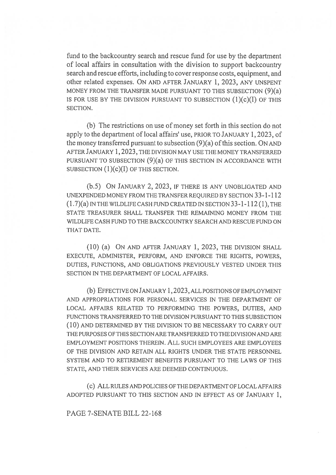fund to the backcountry search and rescue fund for use by the department of local affairs in consultation with the division to support backcountry search and rescue efforts, including to cover response costs, equipment, and other related expenses. ON AND AFTER JANUARY 1, 2023, ANY UNSPENT MONEY FROM THE TRANSFER MADE PURSUANT TO THIS SUBSECTION (9)(a) IS FOR USE BY THE DIVISION PURSUANT TO SUBSECTION  $(1)(c)(I)$  OF THIS SECTION.

(b) The restrictions on use of money set forth in this section do not apply to the department of local affairs' use, PRIOR TO JANUARY 1, 2023, of the money transferred pursuant to subsection (9)(a) of this section. ON AND AFTER JANUARY 1, 2023, THE DIVISION MAY USE THE MONEY TRANSFERRED PURSUANT TO SUBSECTION (9)(a) OF THIS SECTION IN ACCORDANCE WITH SUBSECTION  $(1)(c)(I)$  OF THIS SECTION.

(b.5) ON JANUARY 2, 2023, IF THERE IS ANY UNOBLIGATED AND UNEXPENDED MONEY FROM THE TRANSFER REQUIRED BY SECTION 33-1-112  $(1.7)(a)$  IN THE WILDLIFE CASH FUND CREATED IN SECTION 33-1-112 (1), THE STATE TREASURER SHALL TRANSFER THE REMAINING MONEY FROM THE WILDLIFE CASH FUND TO THE BACKCOUNTRY SEARCH AND RESCUE FUND ON THAT DATE.

(10) (a) ON AND AFTER JANUARY 1, 2023, THE DIVISION SHALL EXECUTE, ADMINISTER, PERFORM, AND ENFORCE THE RIGHTS, POWERS, DUTIES, FUNCTIONS, AND OBLIGATIONS PREVIOUSLY VESTED UNDER THIS SECTION IN THE DEPARTMENT OF LOCAL AFFAIRS.

(b) EFFECTIVE ON JANUARY 1, 2023, ALL POSITIONS OF EMPLOYMENT AND APPROPRIATIONS FOR PERSONAL SERVICES IN THE DEPARTMENT OF LOCAL AFFAIRS RELATED TO PERFORMING THE POWERS, DUTIES, AND FUNCTIONS TRANSFERRED TO THE DIVISION PURSUANT TO THIS SUBSECTION (10) AND DETERMINED BY THE DIVISION TO BE NECESSARY TO CARRY OUT THE PURPOSES OF THIS SECTION ARE TRANSFERRED TO THE DIVISION AND ARE EMPLOYMENT POSITIONS THEREIN. ALL SUCH EMPLOYEES ARE EMPLOYEES OF THE DIVISION AND RETAIN ALL RIGHTS UNDER THE STATE PERSONNEL SYSTEM AND TO RETIREMENT BENEFITS PURSUANT TO THE LAWS OF THIS STATE, AND THEIR SERVICES ARE DEEMED CONTINUOUS.

(c) ALL RULES AND POLICIES OF THE DEPARTMENT OF LOCAL AFFAIRS ADOPTED PURSUANT TO THIS SECTION AND IN EFFECT AS OF JANUARY 1,

PAGE 7-SENATE BILL 22-168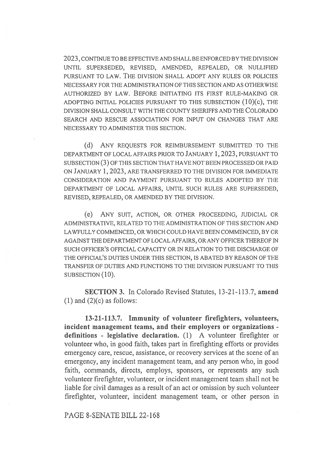2023, CONTINUE TO BE EFFECTIVE AND SHALL BE ENFORCED BY THE DIVISION UNTIL SUPERSEDED, REVISED, AMENDED, REPEALED, OR NULLIFIED PURSUANT TO LAW. THE DIVISION SHALL ADOPT ANY RULES OR POLICIES NECESSARY FOR THE ADMINISTRATION OF THIS SECTION AND AS OTHERWISE AUTHORIZED BY LAW. BEFORE INITIATING ITS FIRST RULE-MAKING OR ADOPTING INITIAL POLICIES PURSUANT TO THIS SUBSECTION (10)(c), THE DIVISION SHALL CONSULT WITH THE COUNTY SHERIFFS AND THE COLORADO SEARCH AND RESCUE ASSOCIATION FOR INPUT ON CHANGES THAT ARE NECESSARY TO ADMINISTER THIS SECTION.

(d) ANY REQUESTS FOR REIMBURSEMENT SUBMITTED TO THE DEPARTMENT OF LOCAL AFFAIRS PRIOR TO JANUARY 1, 2023, PURSUANT TO SUBSECTION (3) OF THIS SECTION THAT HAVE NOT BEEN PROCESSED OR PAID ON JANUARY 1, 2023, ARE TRANSFERRED TO THE DIVISION FOR IMMEDIATE CONSIDERATION AND PAYMENT PURSUANT TO RULES ADOPTED BY THE DEPARTMENT OF LOCAL AFFAIRS, UNTIL SUCH RULES ARE SUPERSEDED, REVISED, REPEALED, OR AMENDED BY THE DIVISION.

(e) ANY SUIT, ACTION, OR OTHER PROCEEDING, JUDICIAL OR ADMINISTRATIVE, RELATED TO THE ADMINISTRATION OF THIS SECTION AND LAWFULLY COMMENCED, OR WHICH COULD HAVE BEEN COMMENCED, BY OR AGAINST THE DEPARTMENT OF LOCAL AFFAIRS, OR ANY OFFICER THEREOF IN SUCH OFFICER'S OFFICIAL CAPACITY OR IN RELATION TO THE DISCHARGE OF THE OFFICIAL'S DUTIES UNDER THIS SECTION, IS ABATED BY REASON OF THE TRANSFER OF DUTIES AND FUNCTIONS TO THE DIVISION PURSUANT TO THIS SUBSECTION (10).

SECTION 3. In Colorado Revised Statutes, 13-21-113.7, amend  $(1)$  and  $(2)(c)$  as follows:

13-21-113.7. Immunity of volunteer firefighters, volunteers, incident management teams, and their employers or organizations definitions - legislative declaration. (1) A volunteer firefighter or volunteer who, in good faith, takes part in firefighting efforts or provides emergency care, rescue, assistance, or recovery services at the scene of an emergency, any incident management team, and any person who, in good faith, commands, directs, employs, sponsors, or represents any such volunteer firefighter, volunteer, or incident management team shall not be liable for civil damages as a result of an act or omission by such volunteer firefighter, volunteer, incident management team, or other person in

PAGE 8-SENATE BILL 22-168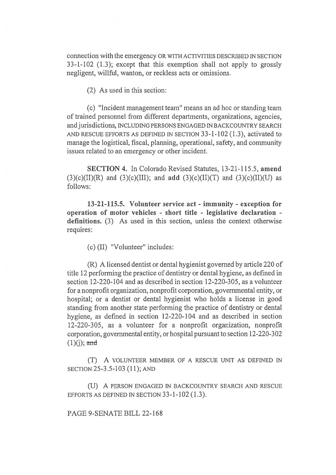connection with the emergency OR WITH ACTIVITIES DESCRIBED IN SECTION 33-1-102 (1.3); except that this exemption shall not apply to grossly negligent, willful, wanton, or reckless acts or omissions.

(2) As used in this section:

(c) "Incident management team" means an ad hoc or standing team of trained personnel from different departments, organizations, agencies, and jurisdictions, INCLUDING PERSONS ENGAGED IN BACKCOUNTRY SEARCH AND RESCUE EFFORTS AS DEFINED IN SECTION 33-1-102 (1.3), activated to manage the logistical, fiscal, planning, operational, safety, and community issues related to an emergency or other incident.

SECTION 4. In Colorado Revised Statutes, 13-21-115.5, amend  $(3)(c)(II)(R)$  and  $(3)(c)(III)$ ; and add  $(3)(c)(II)(T)$  and  $(3)(c)(II)(U)$  as follows:

13-21-115.5. Volunteer service act - immunity - exception for operation of motor vehicles - short title - legislative declaration definitions. (3) As used in this section, unless the context otherwise requires:

(c) (II) "Volunteer" includes:

(R) A licensed dentist or dental hygienist governed by article 220 of title 12 performing the practice of dentistry or dental hygiene, as defined in section 12-220-104 and as described in section 12-220-305, as a volunteer for a nonprofit organization, nonprofit corporation, governmental entity, or hospital; or a dentist or dental hygienist who holds a license in good standing from another state performing the practice of dentistry or dental hygiene, as defined in section 12-220-104 and as described in section 12-220-305, as a volunteer for a nonprofit organization, nonprofit corporation, governmental entity, or hospital pursuant to section 12-220-302  $(1)(i)$ ; and

(T) A VOLUNTEER MEMBER OF A RESCUE UNIT AS DEFINED IN SECTION 25-3.5-103 (11); AND

(U) A PERSON ENGAGED IN BACKCOUNTRY SEARCH AND RESCUE EFFORTS AS DEFINED IN SECTION 33-1-102 (1.3).

PAGE 9-SENATE BILL 22-168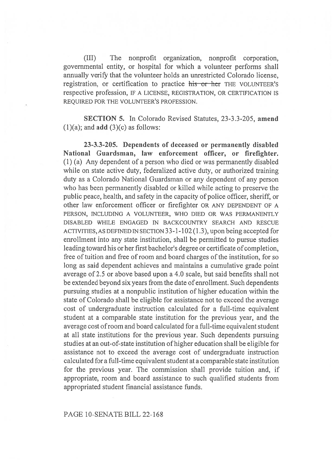(III) The nonprofit organization, nonprofit corporation, governmental entity, or hospital for which a volunteer performs shall annually verify that the volunteer holds an unrestricted Colorado license, registration, or certification to practice his or her THE VOLUNTEER'S respective profession, IF A LICENSE, REGISTRATION, OR CERTIFICATION IS REQUIRED FOR THE VOLUNTEER'S PROFESSION.

SECTION 5. In Colorado Revised Statutes, 23-3.3-205, amend  $(1)(a)$ ; and **add**  $(3)(c)$  as follows:

23-3.3-205. Dependents of deceased or permanently disabled National Guardsman, law enforcement officer, or firefighter. (1) (a) Any dependent of a person who died or was permanently disabled while on state active duty, federalized active duty, or authorized training duty as a Colorado National Guardsman or any dependent of any person who has been permanently disabled or killed while acting to preserve the public peace, health, and safety in the capacity of police officer, sheriff, or other law enforcement officer or firefighter OR ANY DEPENDENT OF A PERSON, INCLUDING A VOLUNTEER, WHO DIED OR WAS PERMANENTLY DISABLED WHILE ENGAGED IN BACKCOUNTRY SEARCH AND RESCUE ACTIVITIES, AS DEFINED IN SECTION 33-1-102 (1.3), upon being accepted for enrollment into any state institution, shall be permitted to pursue studies leading toward his or her first bachelor's degree or certificate of completion, free of tuition and free of room and board charges of the institution, for so long as said dependent achieves and maintains a cumulative grade point average of 2.5 or above based upon a 4.0 scale, but said benefits shall not be extended beyond six years from the date of enrollment. Such dependents pursuing studies at a nonpublic institution of higher education within the state of Colorado shall be eligible for assistance not to exceed the average cost of undergraduate instruction calculated for a full-time equivalent student at a comparable state institution for the previous year, and the average cost of room and board calculated for a full-time equivalent student at all state institutions for the previous year. Such dependents pursuing studies at an out-of-state institution of higher education shall be eligible for assistance not to exceed the average cost of undergraduate instruction calculated for a full-time equivalent student at a comparable state institution for the previous year. The commission shall provide tuition and, if appropriate, room and board assistance to such qualified students from appropriated student financial assistance funds.

## PAGE 10-SENATE BILL 22-168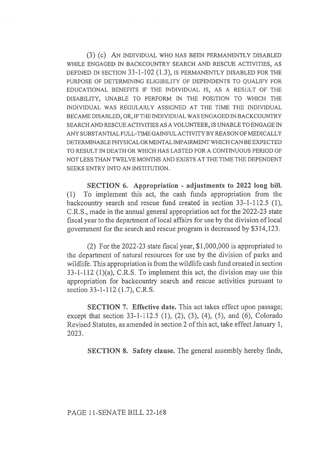(3) (c) AN INDIVIDUAL WHO HAS BEEN PERMANENTLY DISABLED WHILE ENGAGED IN BACKCOUNTRY SEARCH AND RESCUE ACTIVITIES, AS DEFINED IN SECTION 33-1-102 (1.3), IS PERMANENTLY DISABLED FOR THE PURPOSE OF DETERMINING ELIGIBILITY OF DEPENDENTS TO QUALIFY FOR EDUCATIONAL BENEFITS IF THE INDIVIDUAL IS, AS A RESULT OF THE DISABILITY, UNABLE TO PERFORM IN THE POSITION TO WHICH THE INDIVIDUAL WAS REGULARLY ASSIGNED AT THE TIME THE INDIVIDUAL BECAME DISABLED, OR, IF THE INDIVIDUAL WAS ENGAGED IN BACKCOUNTRY SEARCH AND RESCUE ACTIVITIES AS A VOLUNTEER, IS UNABLE TO ENGAGE IN ANY SUBSTANTIAL FULL-TIME GAINFUL ACTIVITY BY REASON OF MEDICALLY DETERMINABLE PHYSICAL OR MENTAL IMPAIRMENT WHICH CAN BE EXPECTED TO RESULT IN DEATH OR WHICH HAS LASTED FOR A CONTINUOUS PERIOD OF NOT LESS THAN TWELVE MONTHS AND EXISTS AT THE TIME THE DEPENDENT SEEKS ENTRY INTO AN INSTITUTION.

SECTION 6. Appropriation - adjustments to 2022 long bill. (1) To implement this act, the cash funds appropriation from the backcountry search and rescue fund created in section 33-1-112.5 (1), C.R.S., made in the annual general appropriation act for the 2022-23 state fiscal year to the department of local affairs for use by the division of local government for the search and rescue program is decreased by \$314,123.

(2) For the 2022-23 state fiscal year, \$1,000,000 is appropriated to the department of natural resources for use by the division of parks and wildlife. This appropriation is from the wildlife cash fund created in section 33-1-112 (1)(a), C.R.S. To implement this act, the division may use this appropriation for backcountry search and rescue activities pursuant to section 33-1-112 (1.7), C.R.S.

SECTION 7. Effective date. This act takes effect upon passage; except that section 33-1-112.5 (1), (2), (3), (4), (5), and (6), Colorado Revised Statutes, as amended in section 2 of this act, take effect January 1, 2023.

SECTION 8. Safety clause. The general assembly hereby finds,

#### PAGE 11-SENATE BILL 22-168